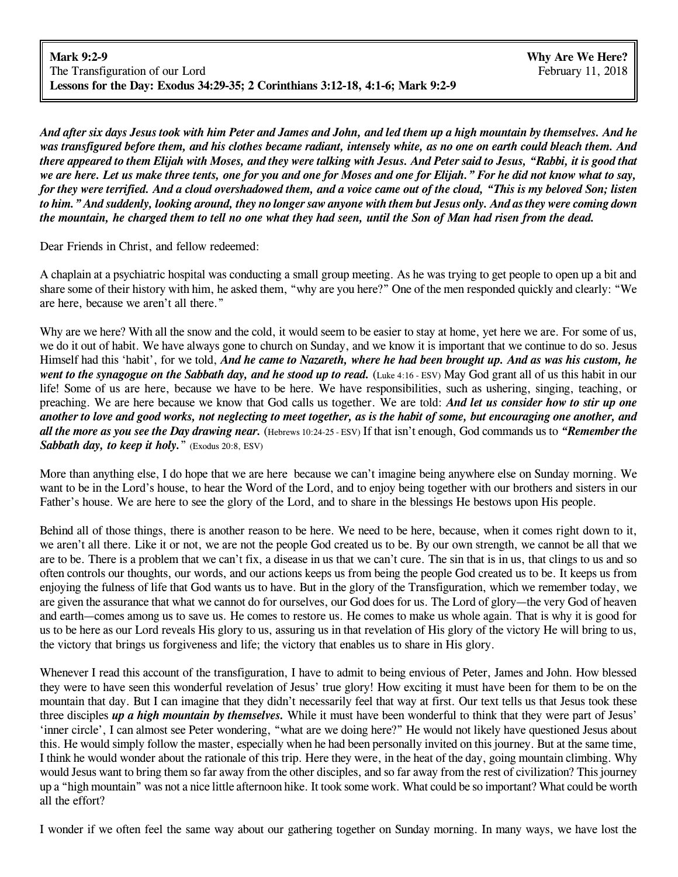And after six days Jesus took with him Peter and James and John, and led them up a high mountain by themselves. And he was transfigured before them, and his clothes became radiant, intensely white, as no one on earth could bleach them. And there appeared to them Elijah with Moses, and they were talking with Jesus. And Peter said to Jesus, "Rabbi, it is good that we are here. Let us make three tents, one for you and one for Moses and one for Elijah." For he did not know what to say, for they were terrified. And a cloud overshadowed them, and a voice came out of the cloud, "This is my beloved Son; listen to him." And suddenly, looking around, they no longer saw anyone with them but Jesus only. And as they were coming down the mountain, he charged them to tell no one what they had seen, until the Son of Man had risen from the dead.

Dear Friends in Christ, and fellow redeemed:

A chaplain at a psychiatric hospital was conducting a small group meeting. As he was trying to get people to open up a bit and share some of their history with him, he asked them, "why are you here?" One of the men responded quickly and clearly: "We are here, because we aren't all there."

Why are we here? With all the snow and the cold, it would seem to be easier to stay at home, yet here we are. For some of us, we do it out of habit. We have always gone to church on Sunday, and we know it is important that we continue to do so. Jesus Himself had this 'habit', for we told, *And he came to Nazareth, where he had been brought up. And as was his custom, he went to the synagogue on the Sabbath day, and he stood up to read.* (Luke 4:16 - ESV) May God grant all of us this habit in our life! Some of us are here, because we have to be here. We have responsibilities, such as ushering, singing, teaching, or preaching. We are here because we know that God calls us together. We are told: *And let us consider how to stir up one* another to love and good works, not neglecting to meet together, as is the habit of some, but encouraging one another, and *all the more as you see the Day drawing near.* (Hebrews 10:24-25 - ESV) If that isn't enough, God commands us to *"Remember the Sabbath day, to keep it holy.*" (Exodus 20:8, ESV)

More than anything else, I do hope that we are here because we can't imagine being anywhere else on Sunday morning. We want to be in the Lord's house, to hear the Word of the Lord, and to enjoy being together with our brothers and sisters in our Father's house. We are here to see the glory of the Lord, and to share in the blessings He bestows upon His people.

Behind all of those things, there is another reason to be here. We need to be here, because, when it comes right down to it, we aren't all there. Like it or not, we are not the people God created us to be. By our own strength, we cannot be all that we are to be. There is a problem that we can't fix, a disease in us that we can't cure. The sin that is in us, that clings to us and so often controls our thoughts, our words, and our actions keeps us from being the people God created us to be. It keeps us from enjoying the fulness of life that God wants us to have. But in the glory of the Transfiguration, which we remember today, we are given the assurance that what we cannot do for ourselves, our God does for us. The Lord of glory—the very God of heaven and earth—comes among us to save us. He comes to restore us. He comes to make us whole again. That is why it is good for us to be here as our Lord reveals His glory to us, assuring us in that revelation of His glory of the victory He will bring to us, the victory that brings us forgiveness and life; the victory that enables us to share in His glory.

Whenever I read this account of the transfiguration, I have to admit to being envious of Peter, James and John. How blessed they were to have seen this wonderful revelation of Jesus' true glory! How exciting it must have been for them to be on the mountain that day. But I can imagine that they didn't necessarily feel that way at first. Our text tells us that Jesus took these three disciples *up a high mountain by themselves.* While it must have been wonderful to think that they were part of Jesus' 'inner circle', I can almost see Peter wondering, "what are we doing here?" He would not likely have questioned Jesus about this. He would simply follow the master, especially when he had been personally invited on this journey. But at the same time, I think he would wonder about the rationale of this trip. Here they were, in the heat of the day, going mountain climbing. Why would Jesus want to bring them so far away from the other disciples, and so far away from the rest of civilization? This journey up a "high mountain" was not a nice little afternoon hike. It took some work. What could be so important? What could be worth all the effort?

I wonder if we often feel the same way about our gathering together on Sunday morning. In many ways, we have lost the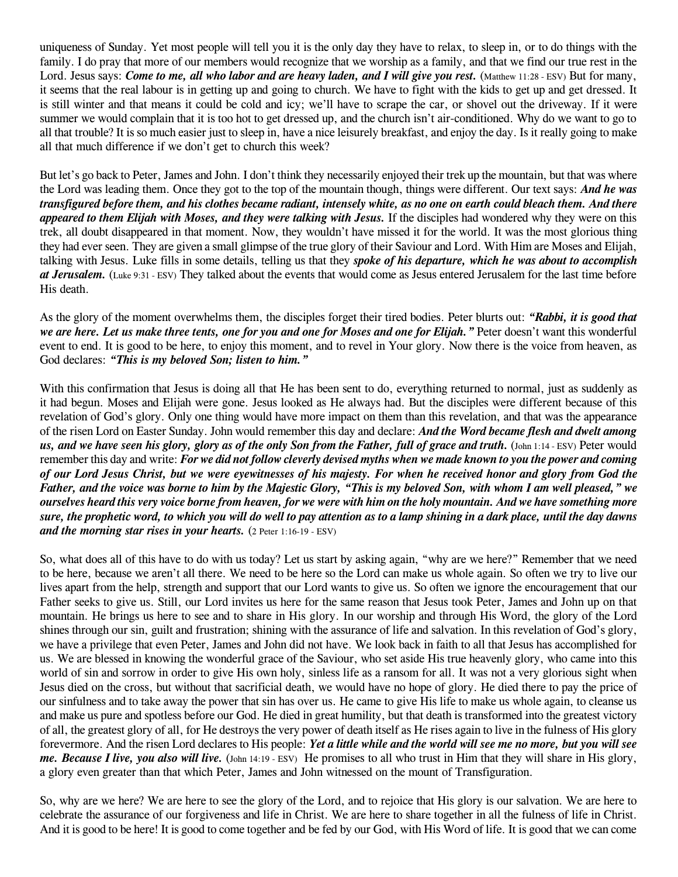uniqueness of Sunday. Yet most people will tell you it is the only day they have to relax, to sleep in, or to do things with the family. I do pray that more of our members would recognize that we worship as a family, and that we find our true rest in the Lord. Jesus says: *Come to me, all who labor and are heavy laden, and I will give you rest.* (Matthew 11:28 - ESV) But for many, it seems that the real labour is in getting up and going to church. We have to fight with the kids to get up and get dressed. It is still winter and that means it could be cold and icy; we'll have to scrape the car, or shovel out the driveway. If it were summer we would complain that it is too hot to get dressed up, and the church isn't air-conditioned. Why do we want to go to all that trouble? It is so much easier just to sleep in, have a nice leisurely breakfast, and enjoy the day. Is it really going to make all that much difference if we don't get to church this week?

But let's go back to Peter, James and John. I don't think they necessarily enjoyed their trek up the mountain, but that was where the Lord was leading them. Once they got to the top of the mountain though, things were different. Our text says: *And he was* transfigured before them, and his clothes became radiant, intensely white, as no one on earth could bleach them. And there *appeared to them Elijah with Moses, and they were talking with Jesus.* If the disciples had wondered why they were on this trek, all doubt disappeared in that moment. Now, they wouldn't have missed it for the world. It was the most glorious thing they had ever seen. They are given a small glimpse of the true glory of their Saviour and Lord. With Him are Moses and Elijah, talking with Jesus. Luke fills in some details, telling us that they *spoke of his departure, which he was about to accomplish at Jerusalem.* (Luke 9:31 - ESV) They talked about the events that would come as Jesus entered Jerusalem for the last time before His death.

As the glory of the moment overwhelms them, the disciples forget their tired bodies. Peter blurts out: *"Rabbi, it is good that* we are here. Let us make three tents, one for you and one for Moses and one for Elijah." Peter doesn't want this wonderful event to end. It is good to be here, to enjoy this moment, and to revel in Your glory. Now there is the voice from heaven, as God declares: *"This is my beloved Son; listen to him."*

With this confirmation that Jesus is doing all that He has been sent to do, everything returned to normal, just as suddenly as it had begun. Moses and Elijah were gone. Jesus looked as He always had. But the disciples were different because of this revelation of God's glory. Only one thing would have more impact on them than this revelation, and that was the appearance of the risen Lord on Easter Sunday. John would remember this day and declare: *And the Word became flesh and dwelt among* us, and we have seen his glory, glory as of the only Son from the Father, full of grace and truth. (John 1:14 - ESV) Peter would remember this day and write: For we did not follow cleverly devised myths when we made known to you the power and coming of our Lord Jesus Christ, but we were eyewitnesses of his majesty. For when he received honor and glory from God the Father, and the voice was borne to him by the Majestic Glory, "This is my beloved Son, with whom I am well pleased," we ourselves heard this very voice borne from heaven, for we were with him on the holy mountain. And we have something more sure, the prophetic word, to which you will do well to pay attention as to a lamp shining in a dark place, until the day dawns *and the morning star rises in your hearts.* (2 Peter 1:16-19 - ESV)

So, what does all of this have to do with us today? Let us start by asking again, "why are we here?" Remember that we need to be here, because we aren't all there. We need to be here so the Lord can make us whole again. So often we try to live our lives apart from the help, strength and support that our Lord wants to give us. So often we ignore the encouragement that our Father seeks to give us. Still, our Lord invites us here for the same reason that Jesus took Peter, James and John up on that mountain. He brings us here to see and to share in His glory. In our worship and through His Word, the glory of the Lord shines through our sin, guilt and frustration; shining with the assurance of life and salvation. In this revelation of God's glory, we have a privilege that even Peter, James and John did not have. We look back in faith to all that Jesus has accomplished for us. We are blessed in knowing the wonderful grace of the Saviour, who set aside His true heavenly glory, who came into this world of sin and sorrow in order to give His own holy, sinless life as a ransom for all. It was not a very glorious sight when Jesus died on the cross, but without that sacrificial death, we would have no hope of glory. He died there to pay the price of our sinfulness and to take away the power that sin has over us. He came to give His life to make us whole again, to cleanse us and make us pure and spotless before our God. He died in great humility, but that death is transformed into the greatest victory of all, the greatest glory of all, for He destroys the very power of death itself as He rises again to live in the fulness of His glory forevermore. And the risen Lord declares to His people: *Yet a little while and the world will see me no more, but you will see me. Because I live, you also will live.* (John 14:19 - ESV) He promises to all who trust in Him that they will share in His glory, a glory even greater than that which Peter, James and John witnessed on the mount of Transfiguration.

So, why are we here? We are here to see the glory of the Lord, and to rejoice that His glory is our salvation. We are here to celebrate the assurance of our forgiveness and life in Christ. We are here to share together in all the fulness of life in Christ. And it is good to be here! It is good to come together and be fed by our God, with His Word of life. It is good that we can come